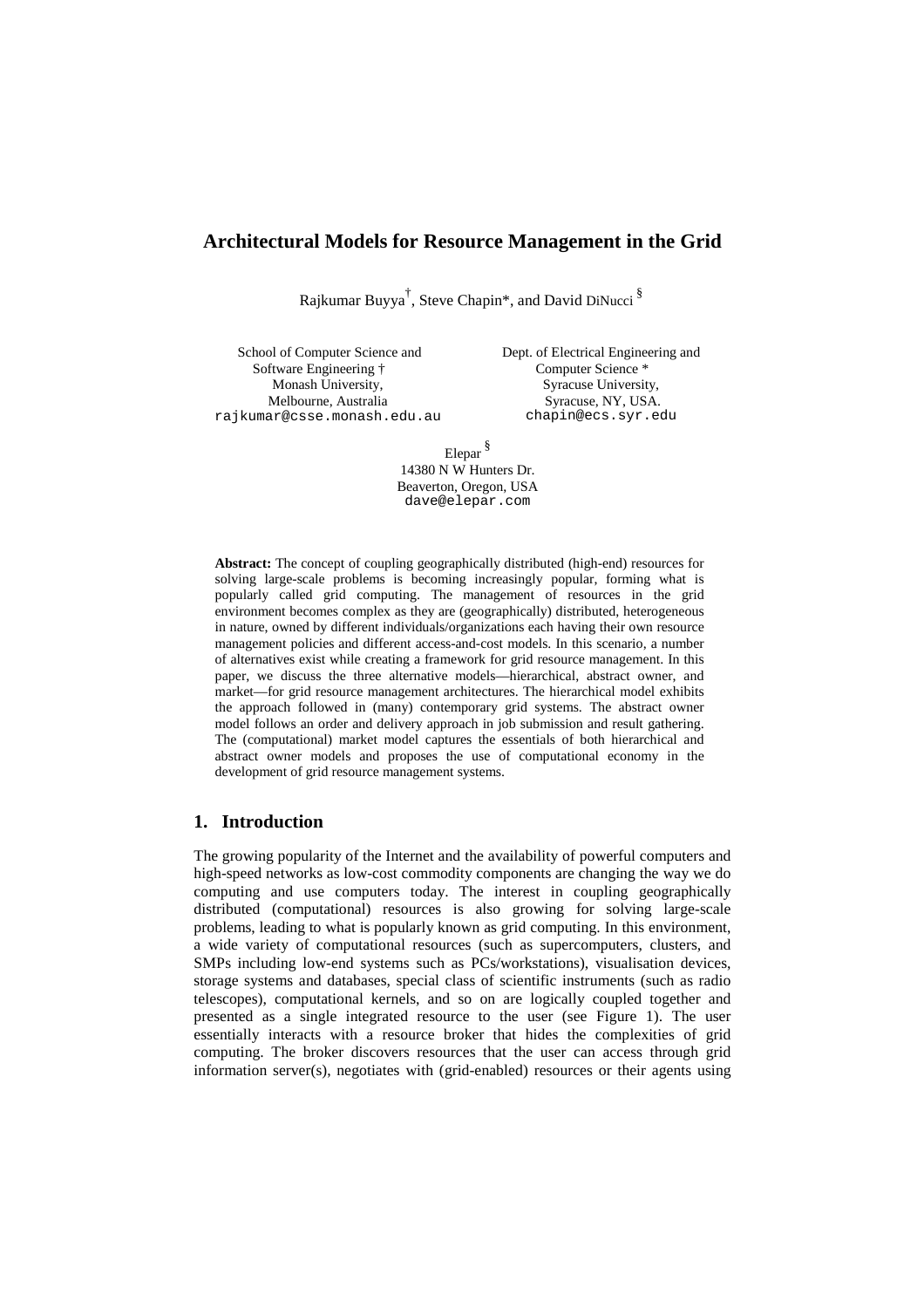# **Architectural Models for Resource Management in the Grid**

Rajkumar Buyya<sup>†</sup>, Steve Chapin\*, and David DiNucci <sup>§</sup>

 School of Computer Science and Software Engineering † Monash University, Melbourne, Australia rajkumar@csse.monash.edu.au Dept. of Electrical Engineering and Computer Science \* Syracuse University, Syracuse, NY, USA. chapin@ecs.syr.edu

Elepar § 14380 N W Hunters Dr. Beaverton, Oregon, USA dave@elepar.com

**Abstract:** The concept of coupling geographically distributed (high-end) resources for solving large-scale problems is becoming increasingly popular, forming what is popularly called grid computing. The management of resources in the grid environment becomes complex as they are (geographically) distributed, heterogeneous in nature, owned by different individuals/organizations each having their own resource management policies and different access-and-cost models. In this scenario, a number of alternatives exist while creating a framework for grid resource management. In this paper, we discuss the three alternative models—hierarchical, abstract owner, and market—for grid resource management architectures. The hierarchical model exhibits the approach followed in (many) contemporary grid systems. The abstract owner model follows an order and delivery approach in job submission and result gathering. The (computational) market model captures the essentials of both hierarchical and abstract owner models and proposes the use of computational economy in the development of grid resource management systems.

## **1. Introduction**

The growing popularity of the Internet and the availability of powerful computers and high-speed networks as low-cost commodity components are changing the way we do computing and use computers today. The interest in coupling geographically distributed (computational) resources is also growing for solving large-scale problems, leading to what is popularly known as grid computing. In this environment, a wide variety of computational resources (such as supercomputers, clusters, and SMPs including low-end systems such as PCs/workstations), visualisation devices, storage systems and databases, special class of scientific instruments (such as radio telescopes), computational kernels, and so on are logically coupled together and presented as a single integrated resource to the user (see Figure 1). The user essentially interacts with a resource broker that hides the complexities of grid computing. The broker discovers resources that the user can access through grid information server(s), negotiates with (grid-enabled) resources or their agents using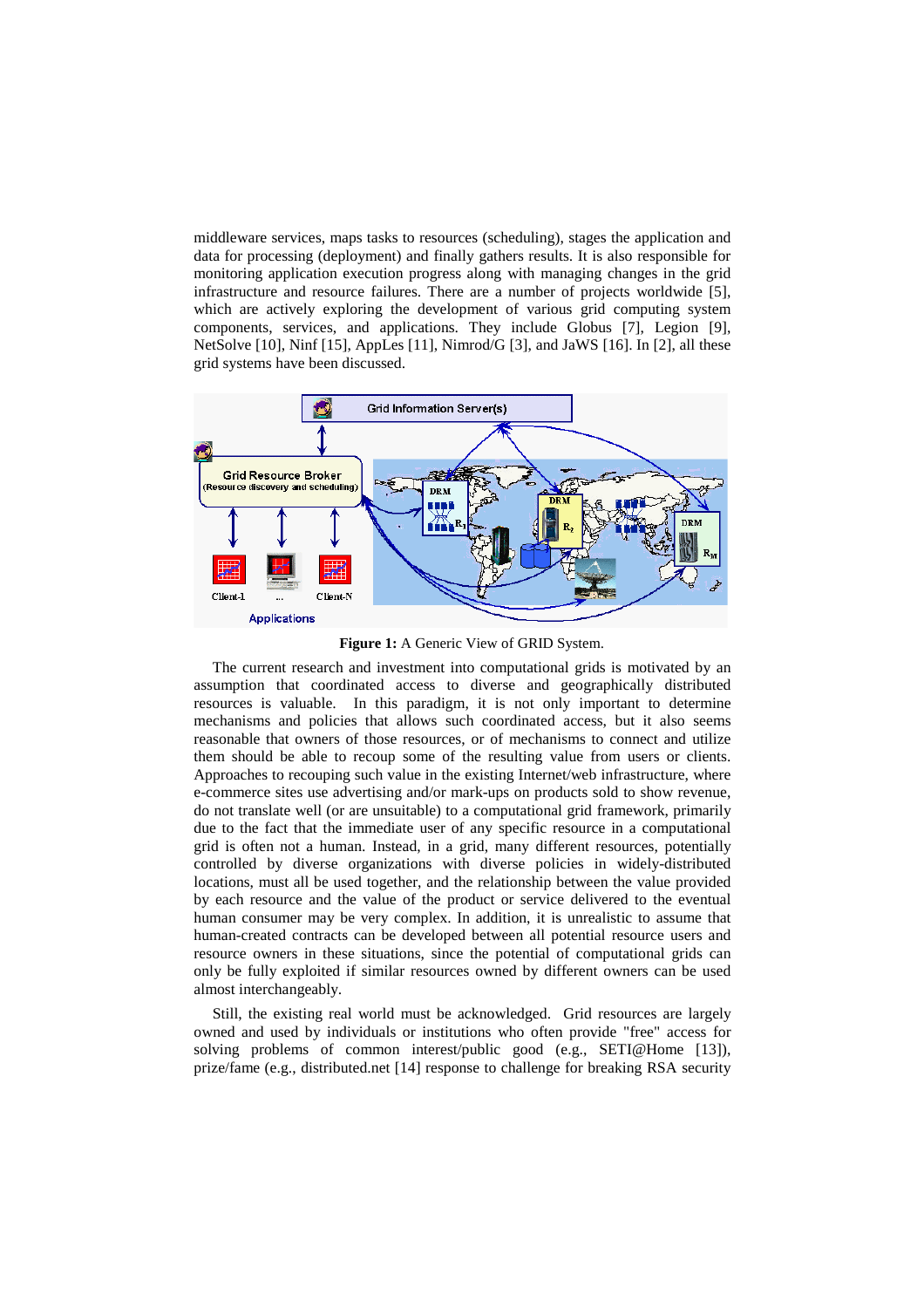middleware services, maps tasks to resources (scheduling), stages the application and data for processing (deployment) and finally gathers results. It is also responsible for monitoring application execution progress along with managing changes in the grid infrastructure and resource failures. There are a number of projects worldwide [5], which are actively exploring the development of various grid computing system components, services, and applications. They include Globus [7], Legion [9], NetSolve [10], Ninf [15], AppLes [11], Nimrod/G [3], and JaWS [16]. In [2], all these grid systems have been discussed.



**Figure 1:** A Generic View of GRID System.

The current research and investment into computational grids is motivated by an assumption that coordinated access to diverse and geographically distributed resources is valuable. In this paradigm, it is not only important to determine mechanisms and policies that allows such coordinated access, but it also seems reasonable that owners of those resources, or of mechanisms to connect and utilize them should be able to recoup some of the resulting value from users or clients. Approaches to recouping such value in the existing Internet/web infrastructure, where e-commerce sites use advertising and/or mark-ups on products sold to show revenue, do not translate well (or are unsuitable) to a computational grid framework, primarily due to the fact that the immediate user of any specific resource in a computational grid is often not a human. Instead, in a grid, many different resources, potentially controlled by diverse organizations with diverse policies in widely-distributed locations, must all be used together, and the relationship between the value provided by each resource and the value of the product or service delivered to the eventual human consumer may be very complex. In addition, it is unrealistic to assume that human-created contracts can be developed between all potential resource users and resource owners in these situations, since the potential of computational grids can only be fully exploited if similar resources owned by different owners can be used almost interchangeably.

Still, the existing real world must be acknowledged. Grid resources are largely owned and used by individuals or institutions who often provide "free" access for solving problems of common interest/public good (e.g., SETI@Home [13]), prize/fame (e.g., distributed.net [14] response to challenge for breaking RSA security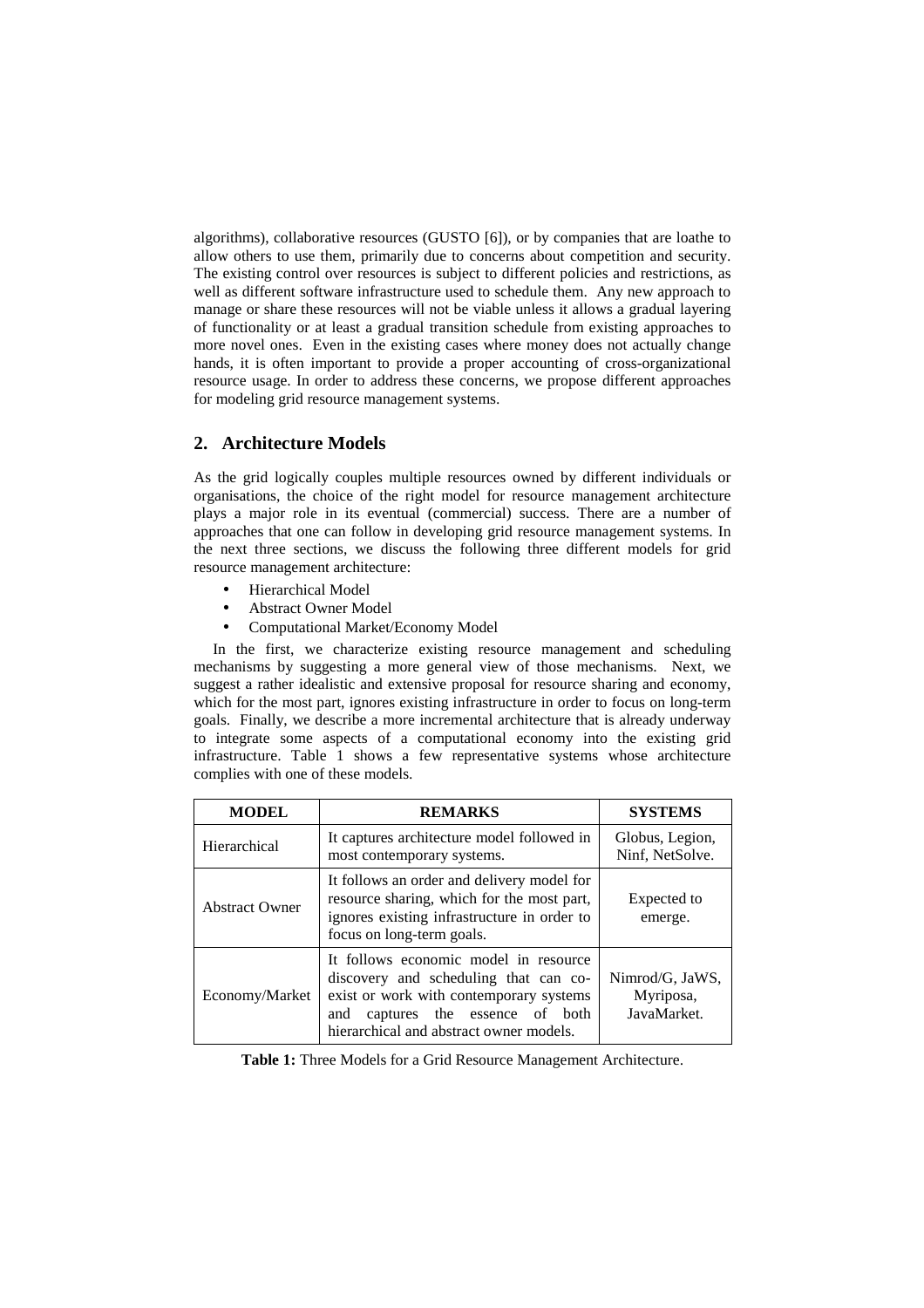algorithms), collaborative resources (GUSTO [6]), or by companies that are loathe to allow others to use them, primarily due to concerns about competition and security. The existing control over resources is subject to different policies and restrictions, as well as different software infrastructure used to schedule them. Any new approach to manage or share these resources will not be viable unless it allows a gradual layering of functionality or at least a gradual transition schedule from existing approaches to more novel ones. Even in the existing cases where money does not actually change hands, it is often important to provide a proper accounting of cross-organizational resource usage. In order to address these concerns, we propose different approaches for modeling grid resource management systems.

# **2. Architecture Models**

As the grid logically couples multiple resources owned by different individuals or organisations, the choice of the right model for resource management architecture plays a major role in its eventual (commercial) success. There are a number of approaches that one can follow in developing grid resource management systems. In the next three sections, we discuss the following three different models for grid resource management architecture:

- Hierarchical Model
- Abstract Owner Model
- Computational Market/Economy Model

In the first, we characterize existing resource management and scheduling mechanisms by suggesting a more general view of those mechanisms. Next, we suggest a rather idealistic and extensive proposal for resource sharing and economy, which for the most part, ignores existing infrastructure in order to focus on long-term goals. Finally, we describe a more incremental architecture that is already underway to integrate some aspects of a computational economy into the existing grid infrastructure. Table 1 shows a few representative systems whose architecture complies with one of these models.

| <b>MODEL</b>          | <b>REMARKS</b>                                                                                                                                                                                           | <b>SYSTEMS</b>                              |
|-----------------------|----------------------------------------------------------------------------------------------------------------------------------------------------------------------------------------------------------|---------------------------------------------|
| Hierarchical          | It captures architecture model followed in<br>most contemporary systems.                                                                                                                                 | Globus, Legion,<br>Ninf, NetSolve.          |
| <b>Abstract Owner</b> | It follows an order and delivery model for<br>resource sharing, which for the most part,<br>ignores existing infrastructure in order to<br>focus on long-term goals.                                     | Expected to<br>emerge.                      |
| Economy/Market        | It follows economic model in resource<br>discovery and scheduling that can co-<br>exist or work with contemporary systems<br>and captures the essence of both<br>hierarchical and abstract owner models. | Nimrod/G, JaWS,<br>Myriposa,<br>JavaMarket. |

**Table 1:** Three Models for a Grid Resource Management Architecture.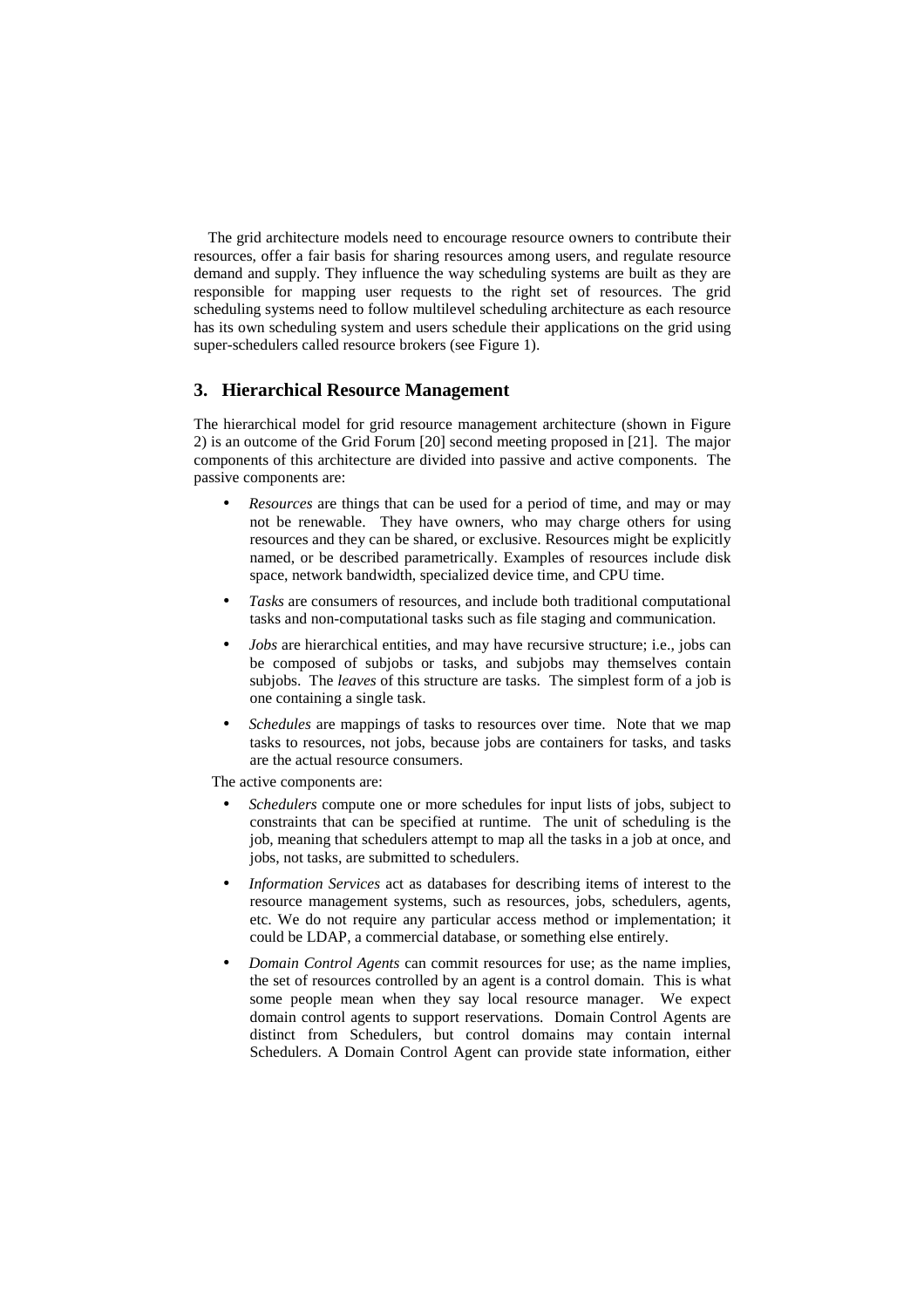The grid architecture models need to encourage resource owners to contribute their resources, offer a fair basis for sharing resources among users, and regulate resource demand and supply. They influence the way scheduling systems are built as they are responsible for mapping user requests to the right set of resources. The grid scheduling systems need to follow multilevel scheduling architecture as each resource has its own scheduling system and users schedule their applications on the grid using super-schedulers called resource brokers (see Figure 1).

## **3. Hierarchical Resource Management**

The hierarchical model for grid resource management architecture (shown in Figure 2) is an outcome of the Grid Forum [20] second meeting proposed in [21]. The major components of this architecture are divided into passive and active components. The passive components are:

- *Resources* are things that can be used for a period of time, and may or may not be renewable. They have owners, who may charge others for using resources and they can be shared, or exclusive. Resources might be explicitly named, or be described parametrically. Examples of resources include disk space, network bandwidth, specialized device time, and CPU time.
- *Tasks* are consumers of resources, and include both traditional computational tasks and non-computational tasks such as file staging and communication.
- *Jobs* are hierarchical entities, and may have recursive structure; i.e., jobs can be composed of subjobs or tasks, and subjobs may themselves contain subjobs. The *leaves* of this structure are tasks. The simplest form of a job is one containing a single task.
- *Schedules* are mappings of tasks to resources over time. Note that we map tasks to resources, not jobs, because jobs are containers for tasks, and tasks are the actual resource consumers.

The active components are:

- *Schedulers* compute one or more schedules for input lists of jobs, subject to constraints that can be specified at runtime. The unit of scheduling is the job, meaning that schedulers attempt to map all the tasks in a job at once, and jobs, not tasks, are submitted to schedulers.
- *Information Services* act as databases for describing items of interest to the resource management systems, such as resources, jobs, schedulers, agents, etc. We do not require any particular access method or implementation; it could be LDAP, a commercial database, or something else entirely.
- *Domain Control Agents* can commit resources for use; as the name implies, the set of resources controlled by an agent is a control domain. This is what some people mean when they say local resource manager. We expect domain control agents to support reservations. Domain Control Agents are distinct from Schedulers, but control domains may contain internal Schedulers. A Domain Control Agent can provide state information, either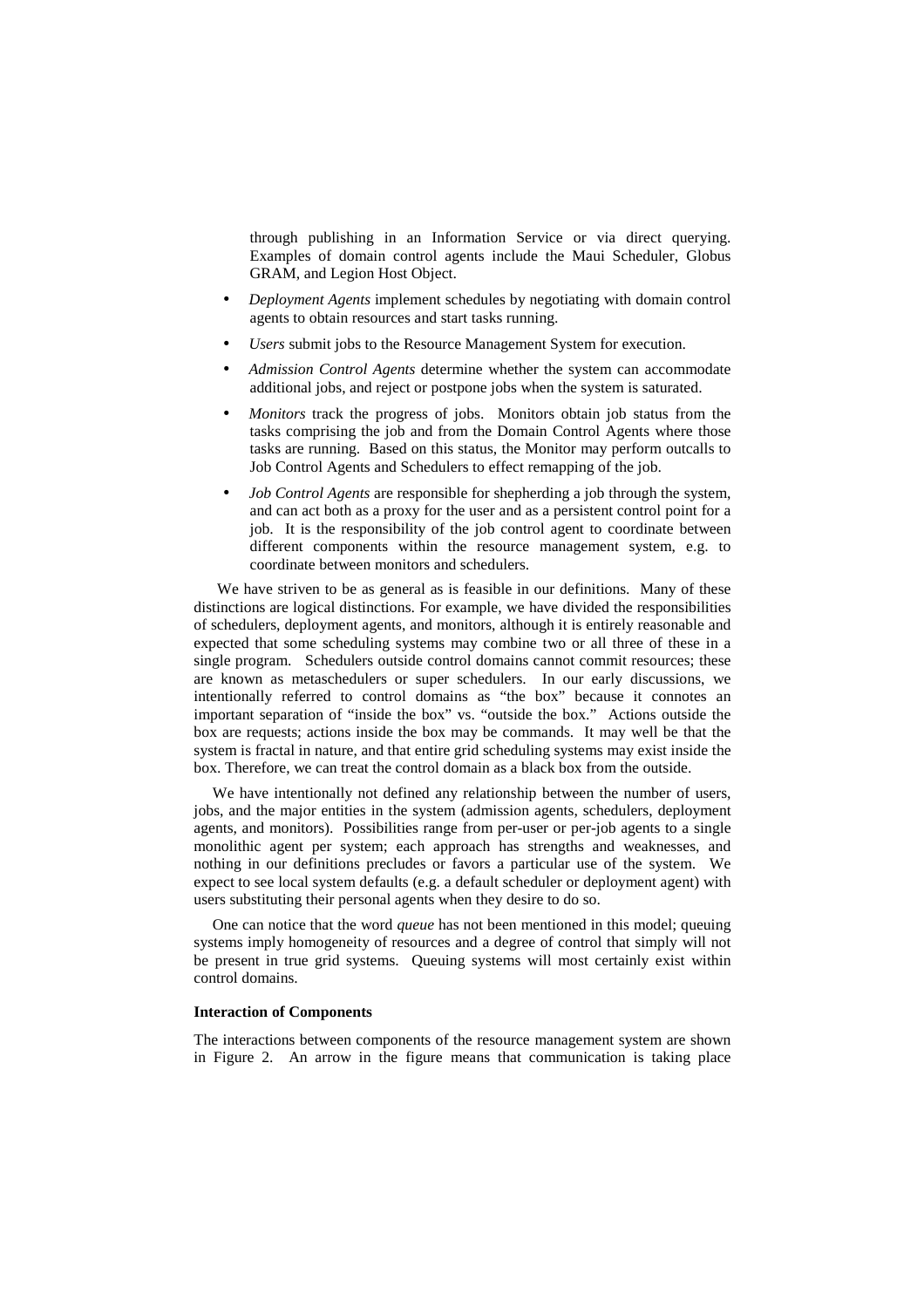through publishing in an Information Service or via direct querying. Examples of domain control agents include the Maui Scheduler, Globus GRAM, and Legion Host Object.

- *Deployment Agents* implement schedules by negotiating with domain control agents to obtain resources and start tasks running.
- *Users* submit jobs to the Resource Management System for execution.
- *Admission Control Agents* determine whether the system can accommodate additional jobs, and reject or postpone jobs when the system is saturated.
- *Monitors* track the progress of jobs. Monitors obtain job status from the tasks comprising the job and from the Domain Control Agents where those tasks are running. Based on this status, the Monitor may perform outcalls to Job Control Agents and Schedulers to effect remapping of the job.
- *Job Control Agents* are responsible for shepherding a job through the system, and can act both as a proxy for the user and as a persistent control point for a job. It is the responsibility of the job control agent to coordinate between different components within the resource management system, e.g. to coordinate between monitors and schedulers.

We have striven to be as general as is feasible in our definitions. Many of these distinctions are logical distinctions. For example, we have divided the responsibilities of schedulers, deployment agents, and monitors, although it is entirely reasonable and expected that some scheduling systems may combine two or all three of these in a single program. Schedulers outside control domains cannot commit resources; these are known as metaschedulers or super schedulers. In our early discussions, we intentionally referred to control domains as "the box" because it connotes an important separation of "inside the box" vs. "outside the box." Actions outside the box are requests; actions inside the box may be commands. It may well be that the system is fractal in nature, and that entire grid scheduling systems may exist inside the box. Therefore, we can treat the control domain as a black box from the outside.

We have intentionally not defined any relationship between the number of users, jobs, and the major entities in the system (admission agents, schedulers, deployment agents, and monitors). Possibilities range from per-user or per-job agents to a single monolithic agent per system; each approach has strengths and weaknesses, and nothing in our definitions precludes or favors a particular use of the system. We expect to see local system defaults (e.g. a default scheduler or deployment agent) with users substituting their personal agents when they desire to do so.

One can notice that the word *queue* has not been mentioned in this model; queuing systems imply homogeneity of resources and a degree of control that simply will not be present in true grid systems. Queuing systems will most certainly exist within control domains.

## **Interaction of Components**

The interactions between components of the resource management system are shown in Figure 2. An arrow in the figure means that communication is taking place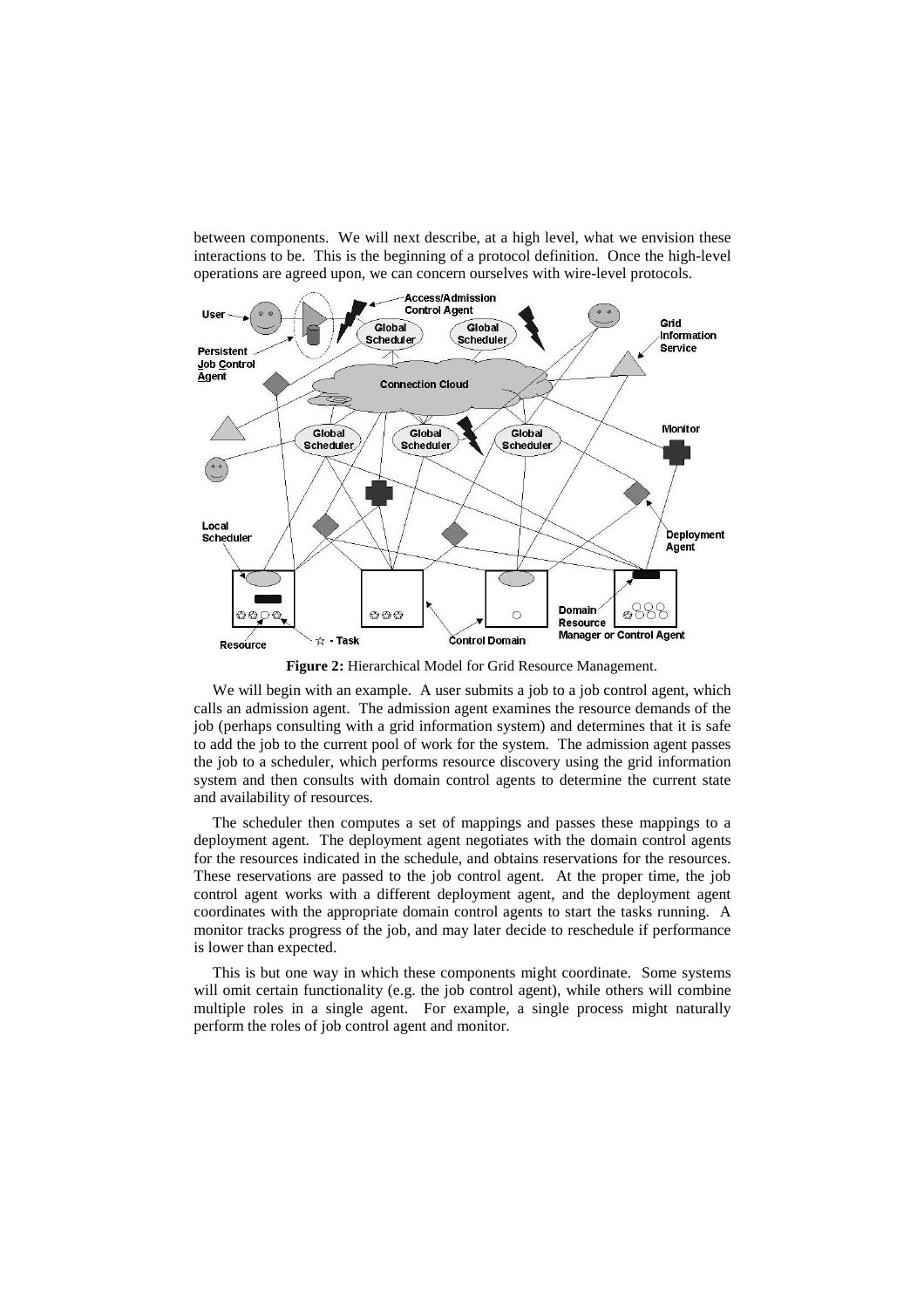between components. We will next describe, at a high level, what we envision these interactions to be. This is the beginning of a protocol definition. Once the high-level operations are agreed upon, we can concern ourselves with wire-level protocols.



**Figure 2:** Hierarchical Model for Grid Resource Management.

We will begin with an example. A user submits a job to a job control agent, which calls an admission agent. The admission agent examines the resource demands of the job (perhaps consulting with a grid information system) and determines that it is safe to add the job to the current pool of work for the system. The admission agent passes the job to a scheduler, which performs resource discovery using the grid information system and then consults with domain control agents to determine the current state and availability of resources.

The scheduler then computes a set of mappings and passes these mappings to a deployment agent. The deployment agent negotiates with the domain control agents for the resources indicated in the schedule, and obtains reservations for the resources. These reservations are passed to the job control agent. At the proper time, the job control agent works with a different deployment agent, and the deployment agent coordinates with the appropriate domain control agents to start the tasks running. A monitor tracks progress of the job, and may later decide to reschedule if performance is lower than expected.

This is but one way in which these components might coordinate. Some systems will omit certain functionality (e.g. the job control agent), while others will combine multiple roles in a single agent. For example, a single process might naturally perform the roles of job control agent and monitor.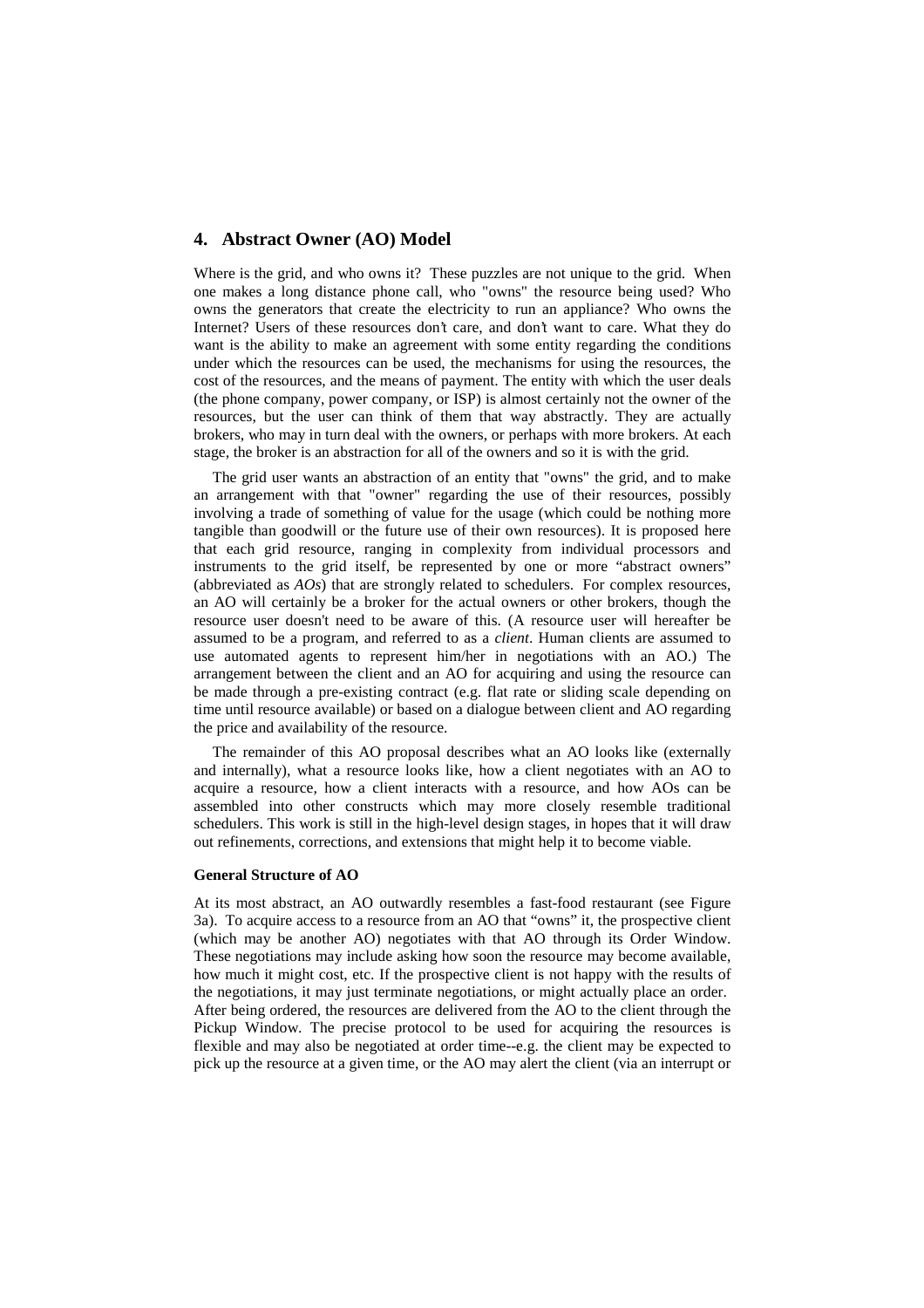## **4. Abstract Owner (AO) Model**

Where is the grid, and who owns it? These puzzles are not unique to the grid. When one makes a long distance phone call, who "owns" the resource being used? Who owns the generators that create the electricity to run an appliance? Who owns the Internet? Users of these resources don't care, and don't want to care. What they do want is the ability to make an agreement with some entity regarding the conditions under which the resources can be used, the mechanisms for using the resources, the cost of the resources, and the means of payment. The entity with which the user deals (the phone company, power company, or ISP) is almost certainly not the owner of the resources, but the user can think of them that way abstractly. They are actually brokers, who may in turn deal with the owners, or perhaps with more brokers. At each stage, the broker is an abstraction for all of the owners and so it is with the grid.

The grid user wants an abstraction of an entity that "owns" the grid, and to make an arrangement with that "owner" regarding the use of their resources, possibly involving a trade of something of value for the usage (which could be nothing more tangible than goodwill or the future use of their own resources). It is proposed here that each grid resource, ranging in complexity from individual processors and instruments to the grid itself, be represented by one or more "abstract owners" (abbreviated as *AOs*) that are strongly related to schedulers. For complex resources, an AO will certainly be a broker for the actual owners or other brokers, though the resource user doesn't need to be aware of this. (A resource user will hereafter be assumed to be a program, and referred to as a *client*. Human clients are assumed to use automated agents to represent him/her in negotiations with an AO.) The arrangement between the client and an AO for acquiring and using the resource can be made through a pre-existing contract (e.g. flat rate or sliding scale depending on time until resource available) or based on a dialogue between client and AO regarding the price and availability of the resource.

The remainder of this AO proposal describes what an AO looks like (externally and internally), what a resource looks like, how a client negotiates with an AO to acquire a resource, how a client interacts with a resource, and how AOs can be assembled into other constructs which may more closely resemble traditional schedulers. This work is still in the high-level design stages, in hopes that it will draw out refinements, corrections, and extensions that might help it to become viable.

#### **General Structure of AO**

At its most abstract, an AO outwardly resembles a fast-food restaurant (see Figure 3a). To acquire access to a resource from an AO that "owns" it, the prospective client (which may be another AO) negotiates with that AO through its Order Window. These negotiations may include asking how soon the resource may become available, how much it might cost, etc. If the prospective client is not happy with the results of the negotiations, it may just terminate negotiations, or might actually place an order. After being ordered, the resources are delivered from the AO to the client through the Pickup Window. The precise protocol to be used for acquiring the resources is flexible and may also be negotiated at order time--e.g. the client may be expected to pick up the resource at a given time, or the AO may alert the client (via an interrupt or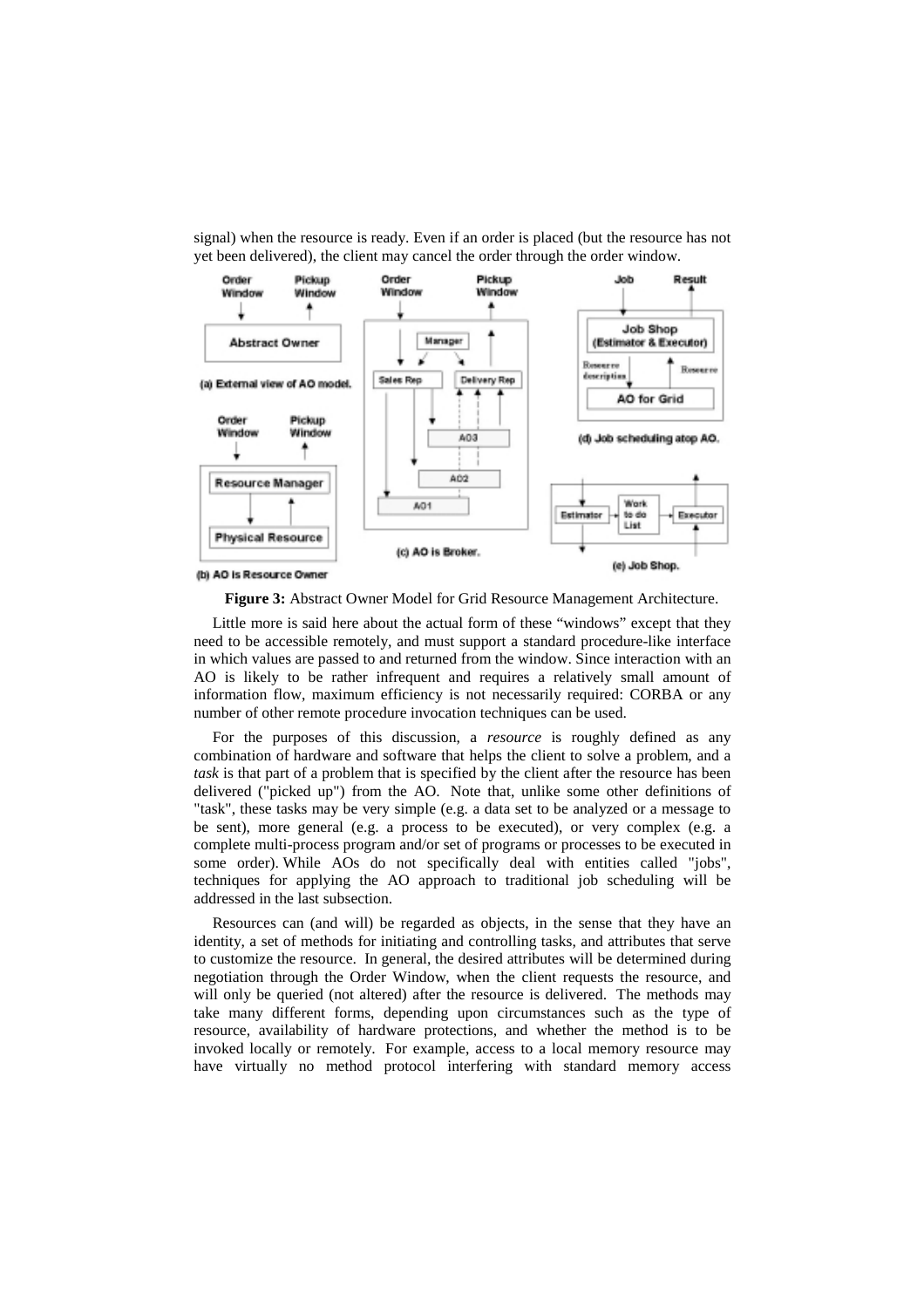

signal) when the resource is ready. Even if an order is placed (but the resource has not yet been delivered), the client may cancel the order through the order window.

**Figure 3:** Abstract Owner Model for Grid Resource Management Architecture.

Little more is said here about the actual form of these "windows" except that they need to be accessible remotely, and must support a standard procedure-like interface in which values are passed to and returned from the window. Since interaction with an AO is likely to be rather infrequent and requires a relatively small amount of information flow, maximum efficiency is not necessarily required: CORBA or any number of other remote procedure invocation techniques can be used.

For the purposes of this discussion, a *resource* is roughly defined as any combination of hardware and software that helps the client to solve a problem, and a *task* is that part of a problem that is specified by the client after the resource has been delivered ("picked up") from the AO. Note that, unlike some other definitions of "task", these tasks may be very simple (e.g. a data set to be analyzed or a message to be sent), more general (e.g. a process to be executed), or very complex (e.g. a complete multi-process program and/or set of programs or processes to be executed in some order). While AOs do not specifically deal with entities called "jobs", techniques for applying the AO approach to traditional job scheduling will be addressed in the last subsection.

Resources can (and will) be regarded as objects, in the sense that they have an identity, a set of methods for initiating and controlling tasks, and attributes that serve to customize the resource. In general, the desired attributes will be determined during negotiation through the Order Window, when the client requests the resource, and will only be queried (not altered) after the resource is delivered. The methods may take many different forms, depending upon circumstances such as the type of resource, availability of hardware protections, and whether the method is to be invoked locally or remotely. For example, access to a local memory resource may have virtually no method protocol interfering with standard memory access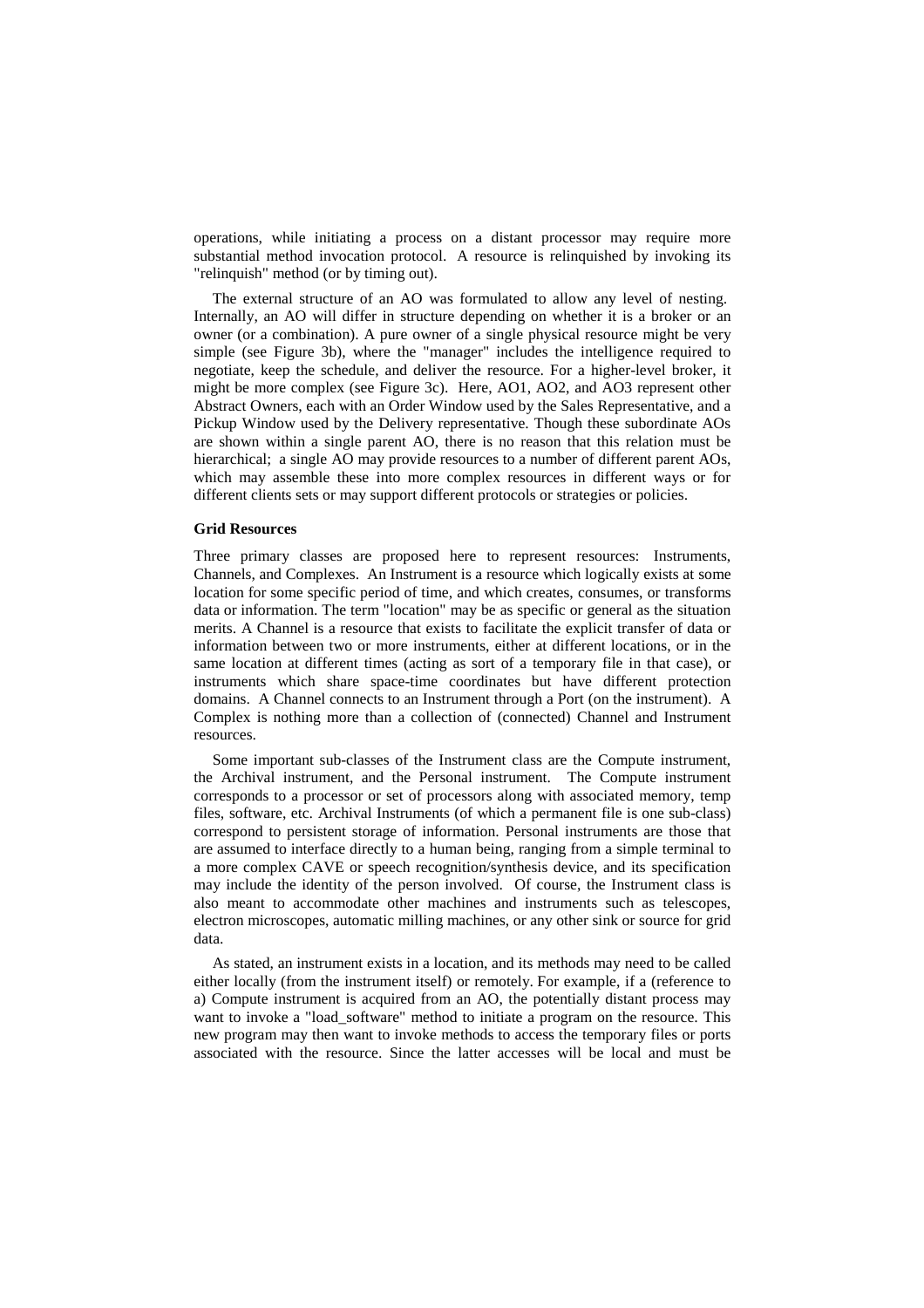operations, while initiating a process on a distant processor may require more substantial method invocation protocol. A resource is relinquished by invoking its "relinquish" method (or by timing out).

The external structure of an AO was formulated to allow any level of nesting. Internally, an AO will differ in structure depending on whether it is a broker or an owner (or a combination). A pure owner of a single physical resource might be very simple (see Figure 3b), where the "manager" includes the intelligence required to negotiate, keep the schedule, and deliver the resource. For a higher-level broker, it might be more complex (see Figure 3c). Here, AO1, AO2, and AO3 represent other Abstract Owners, each with an Order Window used by the Sales Representative, and a Pickup Window used by the Delivery representative. Though these subordinate AOs are shown within a single parent AO, there is no reason that this relation must be hierarchical; a single AO may provide resources to a number of different parent AOs, which may assemble these into more complex resources in different ways or for different clients sets or may support different protocols or strategies or policies.

#### **Grid Resources**

Three primary classes are proposed here to represent resources: Instruments, Channels, and Complexes. An Instrument is a resource which logically exists at some location for some specific period of time, and which creates, consumes, or transforms data or information. The term "location" may be as specific or general as the situation merits. A Channel is a resource that exists to facilitate the explicit transfer of data or information between two or more instruments, either at different locations, or in the same location at different times (acting as sort of a temporary file in that case), or instruments which share space-time coordinates but have different protection domains. A Channel connects to an Instrument through a Port (on the instrument). A Complex is nothing more than a collection of (connected) Channel and Instrument resources.

Some important sub-classes of the Instrument class are the Compute instrument, the Archival instrument, and the Personal instrument. The Compute instrument corresponds to a processor or set of processors along with associated memory, temp files, software, etc. Archival Instruments (of which a permanent file is one sub-class) correspond to persistent storage of information. Personal instruments are those that are assumed to interface directly to a human being, ranging from a simple terminal to a more complex CAVE or speech recognition/synthesis device, and its specification may include the identity of the person involved. Of course, the Instrument class is also meant to accommodate other machines and instruments such as telescopes, electron microscopes, automatic milling machines, or any other sink or source for grid data.

As stated, an instrument exists in a location, and its methods may need to be called either locally (from the instrument itself) or remotely. For example, if a (reference to a) Compute instrument is acquired from an AO, the potentially distant process may want to invoke a "load software" method to initiate a program on the resource. This new program may then want to invoke methods to access the temporary files or ports associated with the resource. Since the latter accesses will be local and must be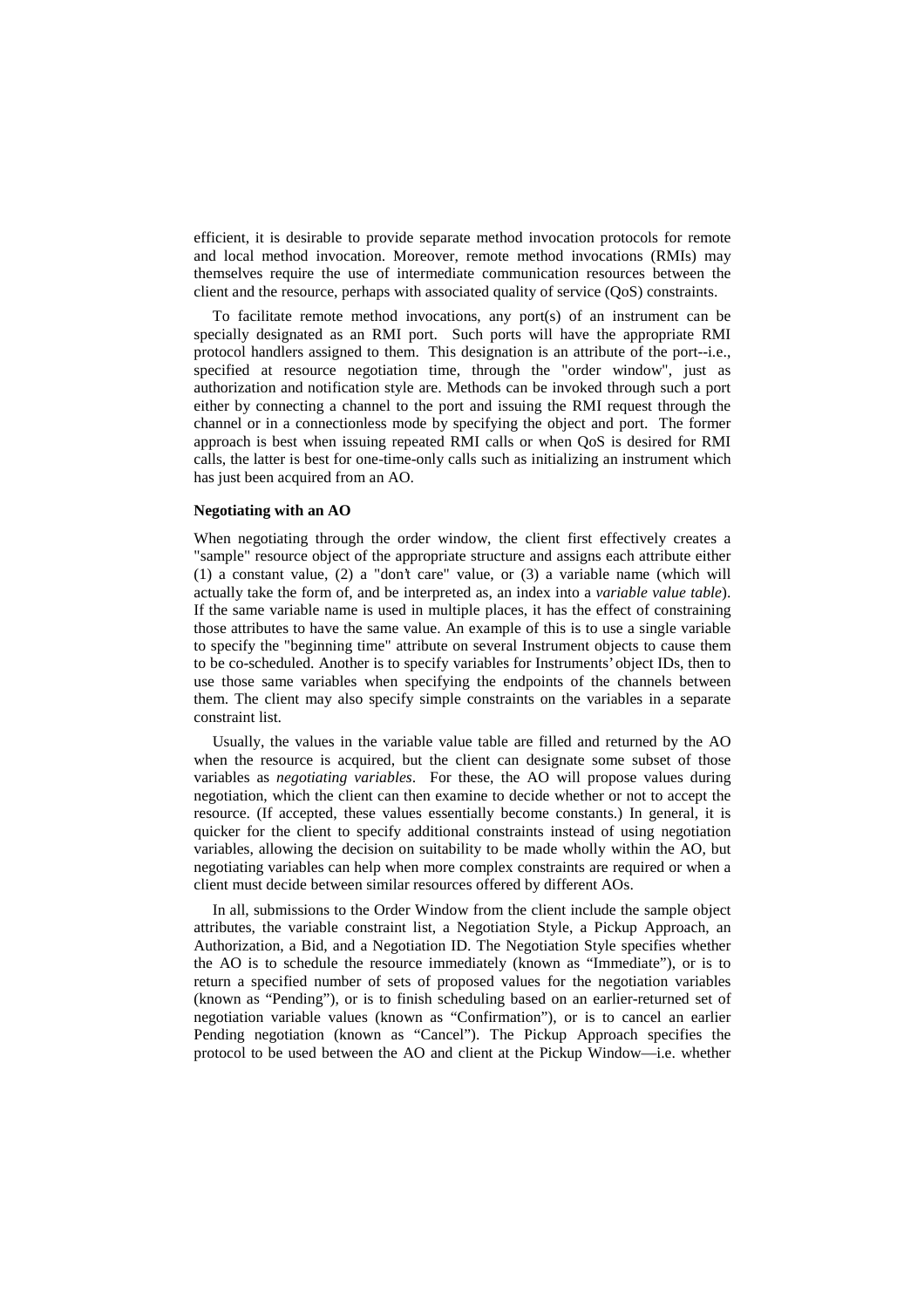efficient, it is desirable to provide separate method invocation protocols for remote and local method invocation. Moreover, remote method invocations (RMIs) may themselves require the use of intermediate communication resources between the client and the resource, perhaps with associated quality of service (QoS) constraints.

To facilitate remote method invocations, any port(s) of an instrument can be specially designated as an RMI port. Such ports will have the appropriate RMI protocol handlers assigned to them. This designation is an attribute of the port--i.e., specified at resource negotiation time, through the "order window", just as authorization and notification style are. Methods can be invoked through such a port either by connecting a channel to the port and issuing the RMI request through the channel or in a connectionless mode by specifying the object and port. The former approach is best when issuing repeated RMI calls or when QoS is desired for RMI calls, the latter is best for one-time-only calls such as initializing an instrument which has just been acquired from an AO.

#### **Negotiating with an AO**

When negotiating through the order window, the client first effectively creates a "sample" resource object of the appropriate structure and assigns each attribute either (1) a constant value, (2) a "don't care" value, or (3) a variable name (which will actually take the form of, and be interpreted as, an index into a *variable value table*). If the same variable name is used in multiple places, it has the effect of constraining those attributes to have the same value. An example of this is to use a single variable to specify the "beginning time" attribute on several Instrument objects to cause them to be co-scheduled. Another is to specify variables for Instruments' object IDs, then to use those same variables when specifying the endpoints of the channels between them. The client may also specify simple constraints on the variables in a separate constraint list.

Usually, the values in the variable value table are filled and returned by the AO when the resource is acquired, but the client can designate some subset of those variables as *negotiating variables*. For these, the AO will propose values during negotiation, which the client can then examine to decide whether or not to accept the resource. (If accepted, these values essentially become constants.) In general, it is quicker for the client to specify additional constraints instead of using negotiation variables, allowing the decision on suitability to be made wholly within the AO, but negotiating variables can help when more complex constraints are required or when a client must decide between similar resources offered by different AOs.

In all, submissions to the Order Window from the client include the sample object attributes, the variable constraint list, a Negotiation Style, a Pickup Approach, an Authorization, a Bid, and a Negotiation ID. The Negotiation Style specifies whether the AO is to schedule the resource immediately (known as "Immediate"), or is to return a specified number of sets of proposed values for the negotiation variables (known as "Pending"), or is to finish scheduling based on an earlier-returned set of negotiation variable values (known as "Confirmation"), or is to cancel an earlier Pending negotiation (known as "Cancel"). The Pickup Approach specifies the protocol to be used between the AO and client at the Pickup Window—i.e. whether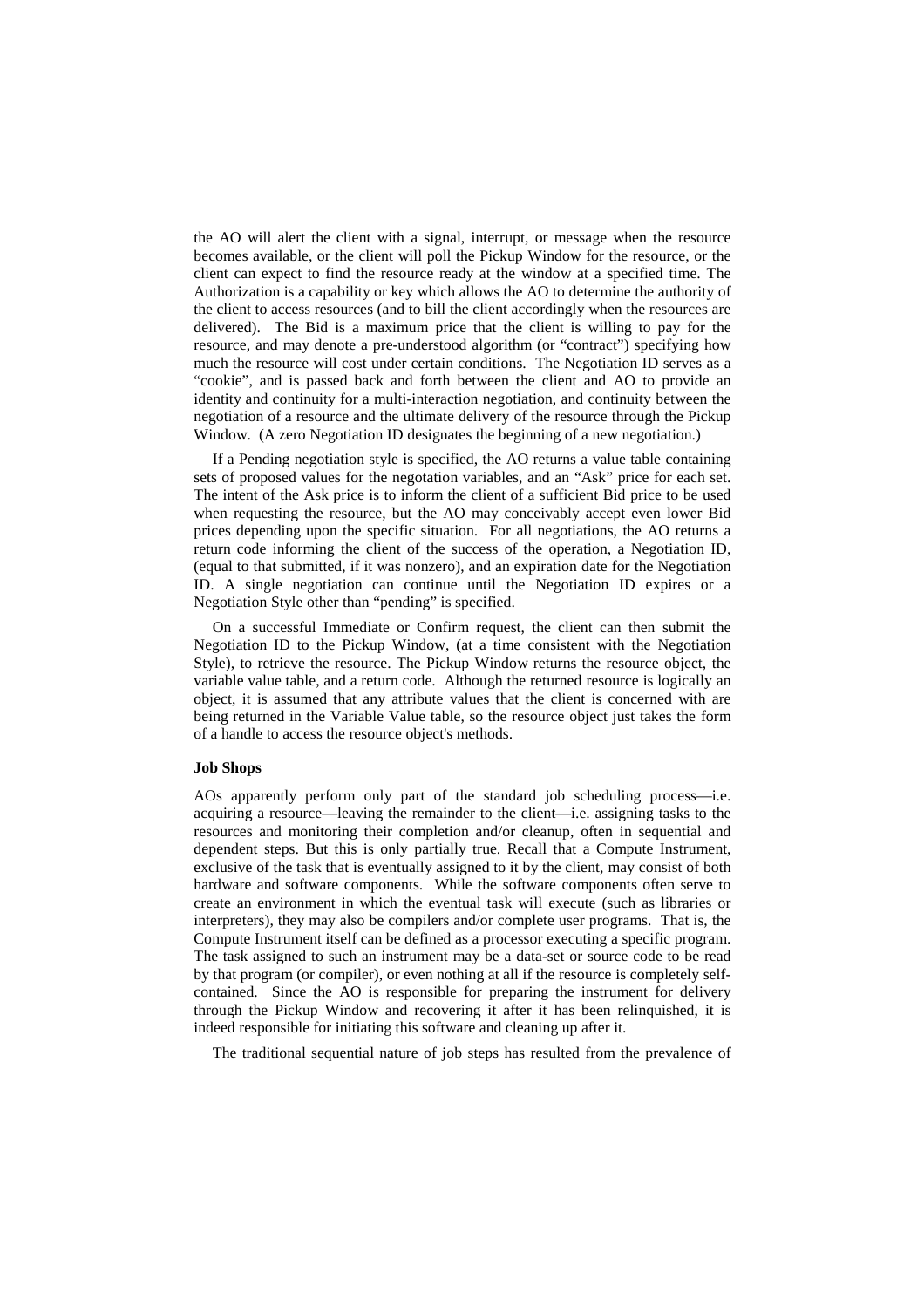the AO will alert the client with a signal, interrupt, or message when the resource becomes available, or the client will poll the Pickup Window for the resource, or the client can expect to find the resource ready at the window at a specified time. The Authorization is a capability or key which allows the AO to determine the authority of the client to access resources (and to bill the client accordingly when the resources are delivered). The Bid is a maximum price that the client is willing to pay for the resource, and may denote a pre-understood algorithm (or "contract") specifying how much the resource will cost under certain conditions. The Negotiation ID serves as a "cookie", and is passed back and forth between the client and AO to provide an identity and continuity for a multi-interaction negotiation, and continuity between the negotiation of a resource and the ultimate delivery of the resource through the Pickup Window. (A zero Negotiation ID designates the beginning of a new negotiation.)

If a Pending negotiation style is specified, the AO returns a value table containing sets of proposed values for the negotation variables, and an "Ask" price for each set. The intent of the Ask price is to inform the client of a sufficient Bid price to be used when requesting the resource, but the AO may conceivably accept even lower Bid prices depending upon the specific situation. For all negotiations, the AO returns a return code informing the client of the success of the operation, a Negotiation ID, (equal to that submitted, if it was nonzero), and an expiration date for the Negotiation ID. A single negotiation can continue until the Negotiation ID expires or a Negotiation Style other than "pending" is specified.

On a successful Immediate or Confirm request, the client can then submit the Negotiation ID to the Pickup Window, (at a time consistent with the Negotiation Style), to retrieve the resource. The Pickup Window returns the resource object, the variable value table, and a return code. Although the returned resource is logically an object, it is assumed that any attribute values that the client is concerned with are being returned in the Variable Value table, so the resource object just takes the form of a handle to access the resource object's methods.

#### **Job Shops**

AOs apparently perform only part of the standard job scheduling process—i.e. acquiring a resource—leaving the remainder to the client—i.e. assigning tasks to the resources and monitoring their completion and/or cleanup, often in sequential and dependent steps. But this is only partially true. Recall that a Compute Instrument, exclusive of the task that is eventually assigned to it by the client, may consist of both hardware and software components. While the software components often serve to create an environment in which the eventual task will execute (such as libraries or interpreters), they may also be compilers and/or complete user programs. That is, the Compute Instrument itself can be defined as a processor executing a specific program. The task assigned to such an instrument may be a data-set or source code to be read by that program (or compiler), or even nothing at all if the resource is completely selfcontained. Since the AO is responsible for preparing the instrument for delivery through the Pickup Window and recovering it after it has been relinquished, it is indeed responsible for initiating this software and cleaning up after it.

The traditional sequential nature of job steps has resulted from the prevalence of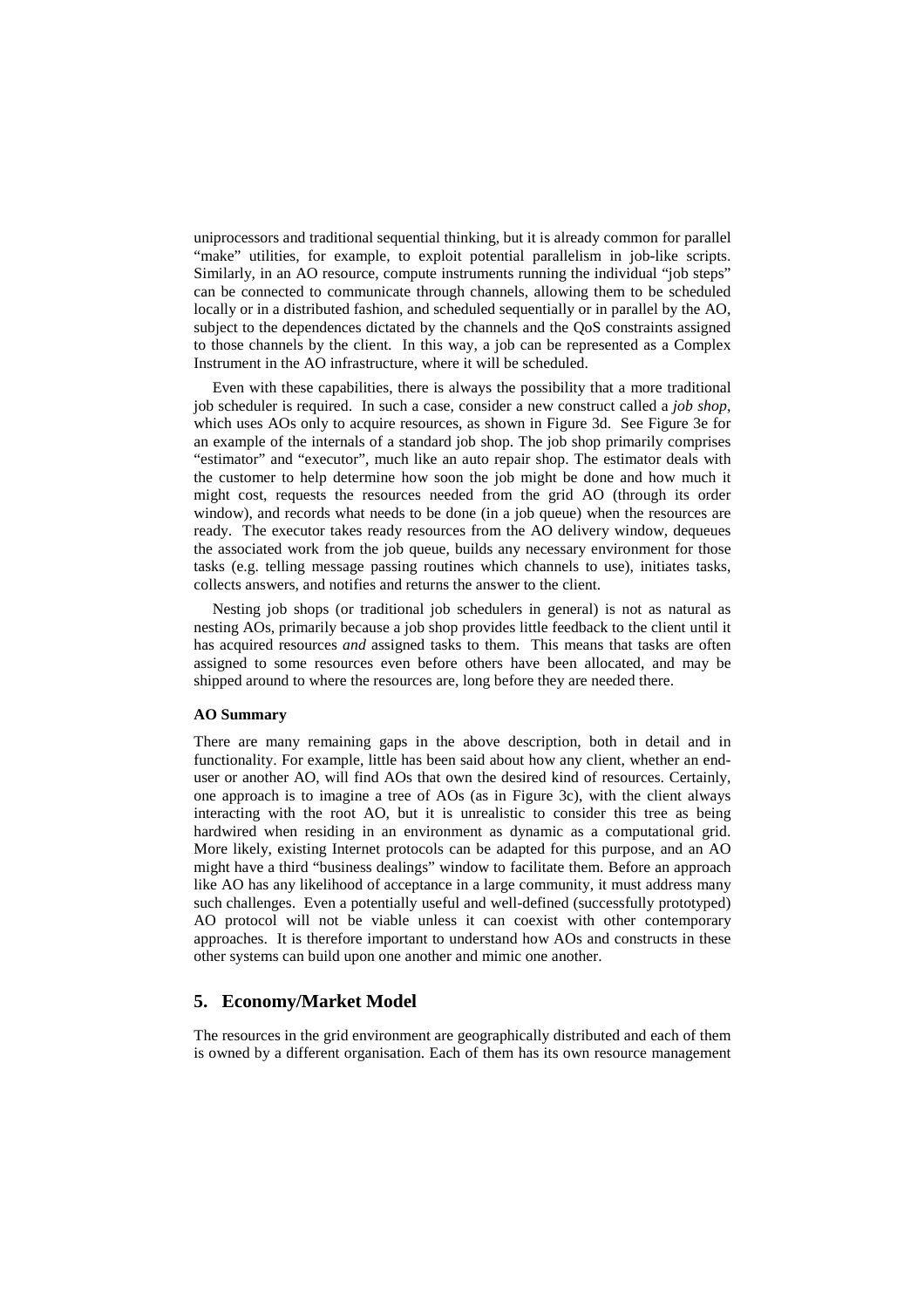uniprocessors and traditional sequential thinking, but it is already common for parallel "make" utilities, for example, to exploit potential parallelism in job-like scripts. Similarly, in an AO resource, compute instruments running the individual "job steps" can be connected to communicate through channels, allowing them to be scheduled locally or in a distributed fashion, and scheduled sequentially or in parallel by the AO, subject to the dependences dictated by the channels and the QoS constraints assigned to those channels by the client. In this way, a job can be represented as a Complex Instrument in the AO infrastructure, where it will be scheduled.

Even with these capabilities, there is always the possibility that a more traditional job scheduler is required. In such a case, consider a new construct called a *job shop*, which uses AOs only to acquire resources, as shown in Figure 3d. See Figure 3e for an example of the internals of a standard job shop. The job shop primarily comprises "estimator" and "executor", much like an auto repair shop. The estimator deals with the customer to help determine how soon the job might be done and how much it might cost, requests the resources needed from the grid AO (through its order window), and records what needs to be done (in a job queue) when the resources are ready. The executor takes ready resources from the AO delivery window, dequeues the associated work from the job queue, builds any necessary environment for those tasks (e.g. telling message passing routines which channels to use), initiates tasks, collects answers, and notifies and returns the answer to the client.

Nesting job shops (or traditional job schedulers in general) is not as natural as nesting AOs, primarily because a job shop provides little feedback to the client until it has acquired resources *and* assigned tasks to them. This means that tasks are often assigned to some resources even before others have been allocated, and may be shipped around to where the resources are, long before they are needed there.

#### **AO Summary**

There are many remaining gaps in the above description, both in detail and in functionality. For example, little has been said about how any client, whether an enduser or another AO, will find AOs that own the desired kind of resources. Certainly, one approach is to imagine a tree of AOs (as in Figure 3c), with the client always interacting with the root AO, but it is unrealistic to consider this tree as being hardwired when residing in an environment as dynamic as a computational grid. More likely, existing Internet protocols can be adapted for this purpose, and an AO might have a third "business dealings" window to facilitate them. Before an approach like AO has any likelihood of acceptance in a large community, it must address many such challenges. Even a potentially useful and well-defined (successfully prototyped) AO protocol will not be viable unless it can coexist with other contemporary approaches. It is therefore important to understand how AOs and constructs in these other systems can build upon one another and mimic one another.

## **5. Economy/Market Model**

The resources in the grid environment are geographically distributed and each of them is owned by a different organisation. Each of them has its own resource management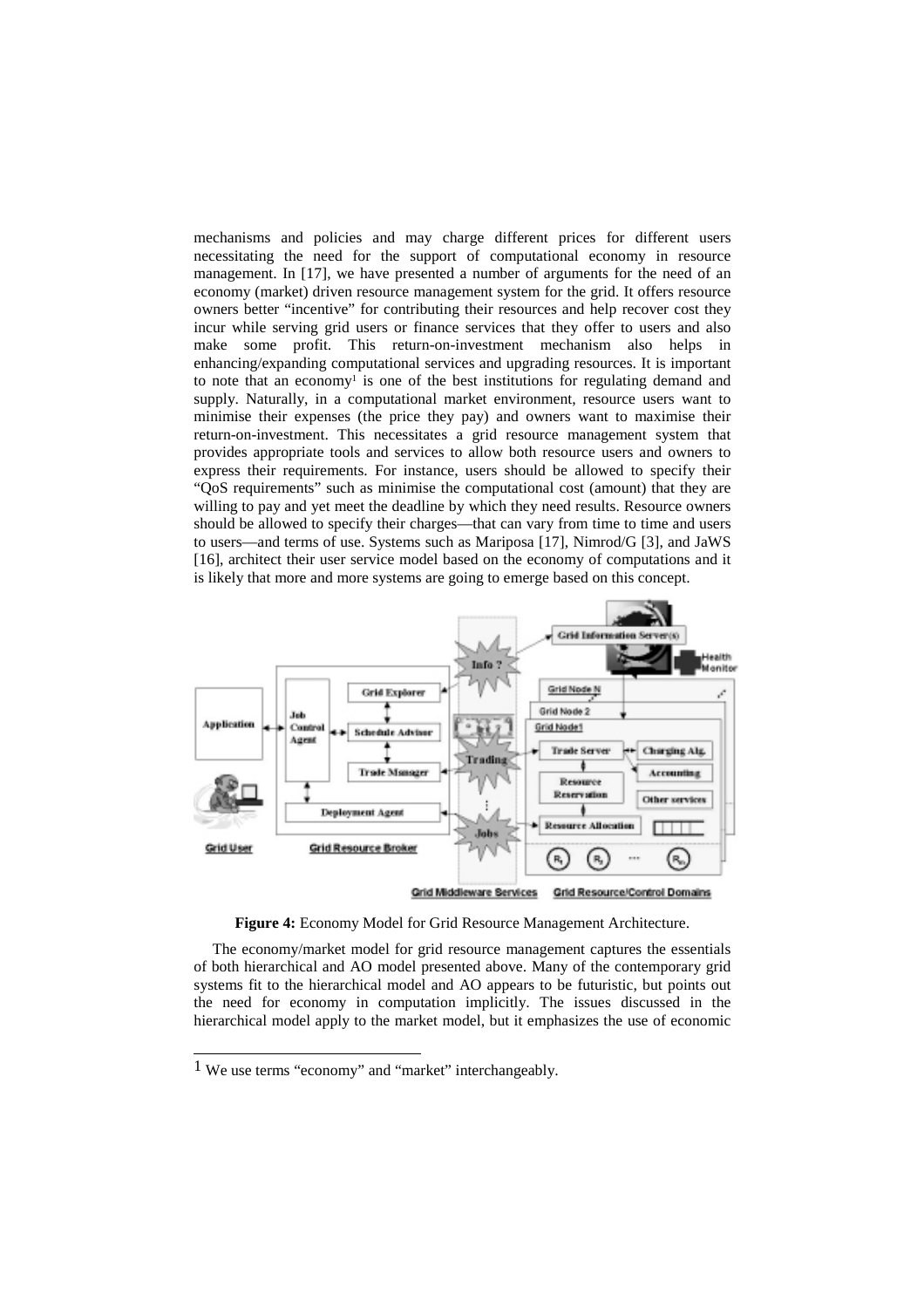mechanisms and policies and may charge different prices for different users necessitating the need for the support of computational economy in resource management. In [17], we have presented a number of arguments for the need of an economy (market) driven resource management system for the grid. It offers resource owners better "incentive" for contributing their resources and help recover cost they incur while serving grid users or finance services that they offer to users and also make some profit. This return-on-investment mechanism also helps in enhancing/expanding computational services and upgrading resources. It is important to note that an economy<sup>1</sup> is one of the best institutions for regulating demand and supply. Naturally, in a computational market environment, resource users want to minimise their expenses (the price they pay) and owners want to maximise their return-on-investment. This necessitates a grid resource management system that provides appropriate tools and services to allow both resource users and owners to express their requirements. For instance, users should be allowed to specify their "QoS requirements" such as minimise the computational cost (amount) that they are willing to pay and yet meet the deadline by which they need results. Resource owners should be allowed to specify their charges—that can vary from time to time and users to users—and terms of use. Systems such as Mariposa [17], Nimrod/G [3], and JaWS [16], architect their user service model based on the economy of computations and it is likely that more and more systems are going to emerge based on this concept.



**Figure 4:** Economy Model for Grid Resource Management Architecture.

The economy/market model for grid resource management captures the essentials of both hierarchical and AO model presented above. Many of the contemporary grid systems fit to the hierarchical model and AO appears to be futuristic, but points out the need for economy in computation implicitly. The issues discussed in the hierarchical model apply to the market model, but it emphasizes the use of economic

 <sup>1</sup> We use terms "economy" and "market" interchangeably.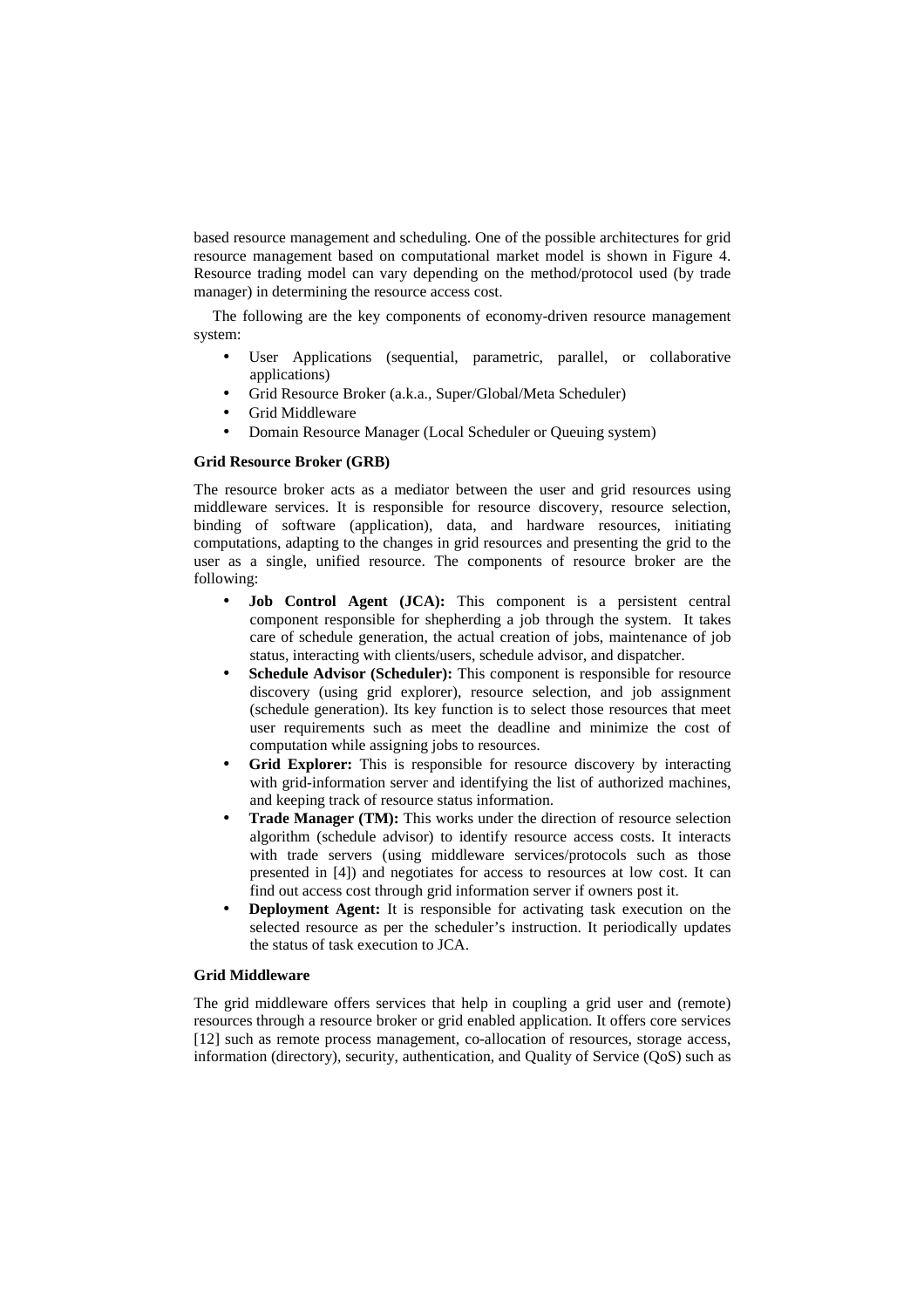based resource management and scheduling. One of the possible architectures for grid resource management based on computational market model is shown in Figure 4. Resource trading model can vary depending on the method/protocol used (by trade manager) in determining the resource access cost.

The following are the key components of economy-driven resource management system:

- User Applications (sequential, parametric, parallel, or collaborative applications)
- Grid Resource Broker (a.k.a., Super/Global/Meta Scheduler)
- Grid Middleware
- Domain Resource Manager (Local Scheduler or Queuing system)

## **Grid Resource Broker (GRB)**

The resource broker acts as a mediator between the user and grid resources using middleware services. It is responsible for resource discovery, resource selection, binding of software (application), data, and hardware resources, initiating computations, adapting to the changes in grid resources and presenting the grid to the user as a single, unified resource. The components of resource broker are the following:

- **Job Control Agent (JCA):** This component is a persistent central component responsible for shepherding a job through the system. It takes care of schedule generation, the actual creation of jobs, maintenance of job status, interacting with clients/users, schedule advisor, and dispatcher.
- **Schedule Advisor (Scheduler):** This component is responsible for resource discovery (using grid explorer), resource selection, and job assignment (schedule generation). Its key function is to select those resources that meet user requirements such as meet the deadline and minimize the cost of computation while assigning jobs to resources.
- **Grid Explorer:** This is responsible for resource discovery by interacting with grid-information server and identifying the list of authorized machines, and keeping track of resource status information.
- **Trade Manager (TM):** This works under the direction of resource selection algorithm (schedule advisor) to identify resource access costs. It interacts with trade servers (using middleware services/protocols such as those presented in [4]) and negotiates for access to resources at low cost. It can find out access cost through grid information server if owners post it.
- **Deployment Agent:** It is responsible for activating task execution on the selected resource as per the scheduler's instruction. It periodically updates the status of task execution to JCA.

## **Grid Middleware**

The grid middleware offers services that help in coupling a grid user and (remote) resources through a resource broker or grid enabled application. It offers core services [12] such as remote process management, co-allocation of resources, storage access, information (directory), security, authentication, and Quality of Service (QoS) such as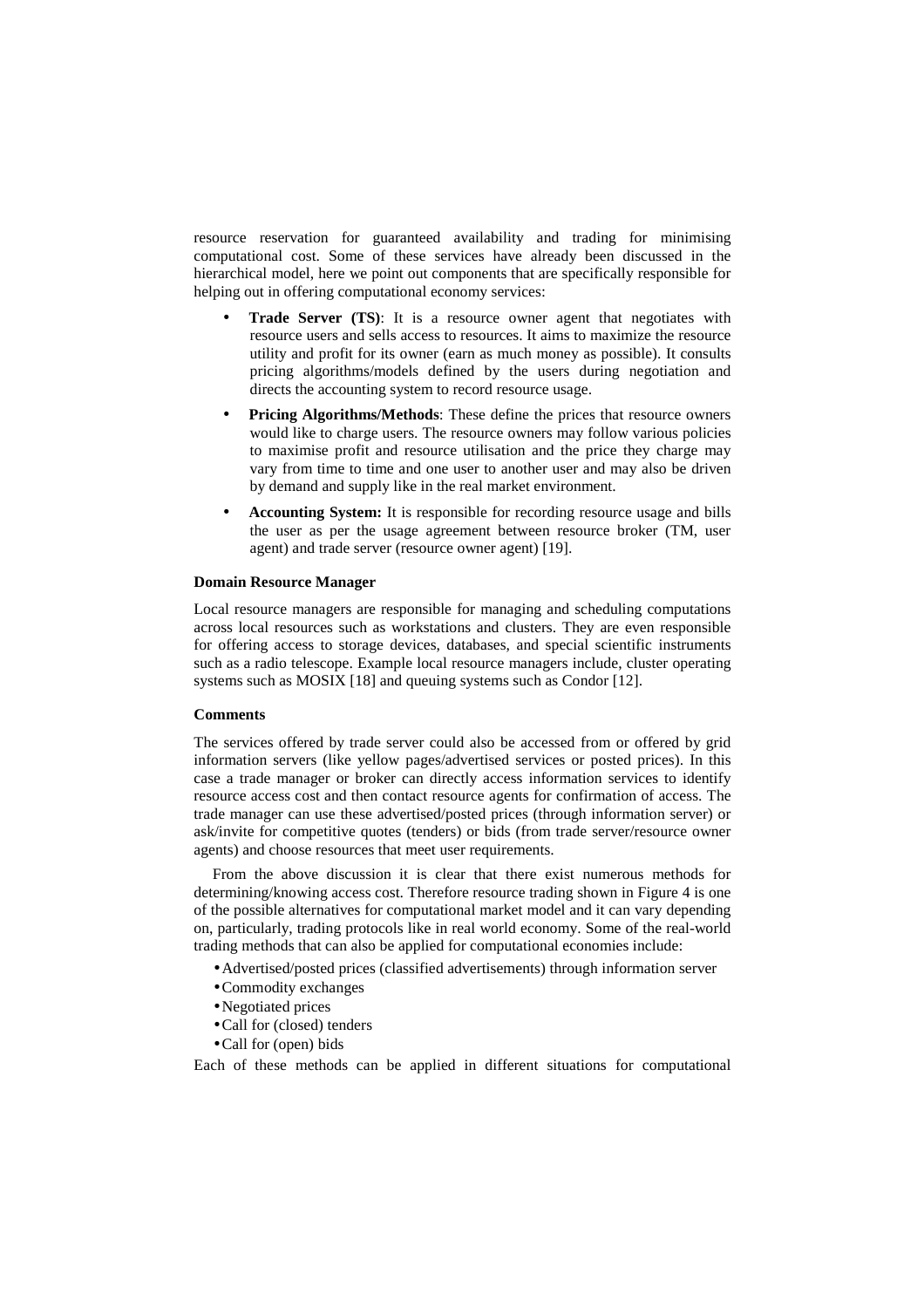resource reservation for guaranteed availability and trading for minimising computational cost. Some of these services have already been discussed in the hierarchical model, here we point out components that are specifically responsible for helping out in offering computational economy services:

- **Trade Server (TS):** It is a resource owner agent that negotiates with resource users and sells access to resources. It aims to maximize the resource utility and profit for its owner (earn as much money as possible). It consults pricing algorithms/models defined by the users during negotiation and directs the accounting system to record resource usage.
- **Pricing Algorithms/Methods**: These define the prices that resource owners would like to charge users. The resource owners may follow various policies to maximise profit and resource utilisation and the price they charge may vary from time to time and one user to another user and may also be driven by demand and supply like in the real market environment.
- **Accounting System:** It is responsible for recording resource usage and bills the user as per the usage agreement between resource broker (TM, user agent) and trade server (resource owner agent) [19].

#### **Domain Resource Manager**

Local resource managers are responsible for managing and scheduling computations across local resources such as workstations and clusters. They are even responsible for offering access to storage devices, databases, and special scientific instruments such as a radio telescope. Example local resource managers include, cluster operating systems such as MOSIX [18] and queuing systems such as Condor [12].

#### **Comments**

The services offered by trade server could also be accessed from or offered by grid information servers (like yellow pages/advertised services or posted prices). In this case a trade manager or broker can directly access information services to identify resource access cost and then contact resource agents for confirmation of access. The trade manager can use these advertised/posted prices (through information server) or ask/invite for competitive quotes (tenders) or bids (from trade server/resource owner agents) and choose resources that meet user requirements.

From the above discussion it is clear that there exist numerous methods for determining/knowing access cost. Therefore resource trading shown in Figure 4 is one of the possible alternatives for computational market model and it can vary depending on, particularly, trading protocols like in real world economy. Some of the real-world trading methods that can also be applied for computational economies include:

- •Advertised/posted prices (classified advertisements) through information server
- •Commodity exchanges
- •Negotiated prices
- •Call for (closed) tenders
- •Call for (open) bids

Each of these methods can be applied in different situations for computational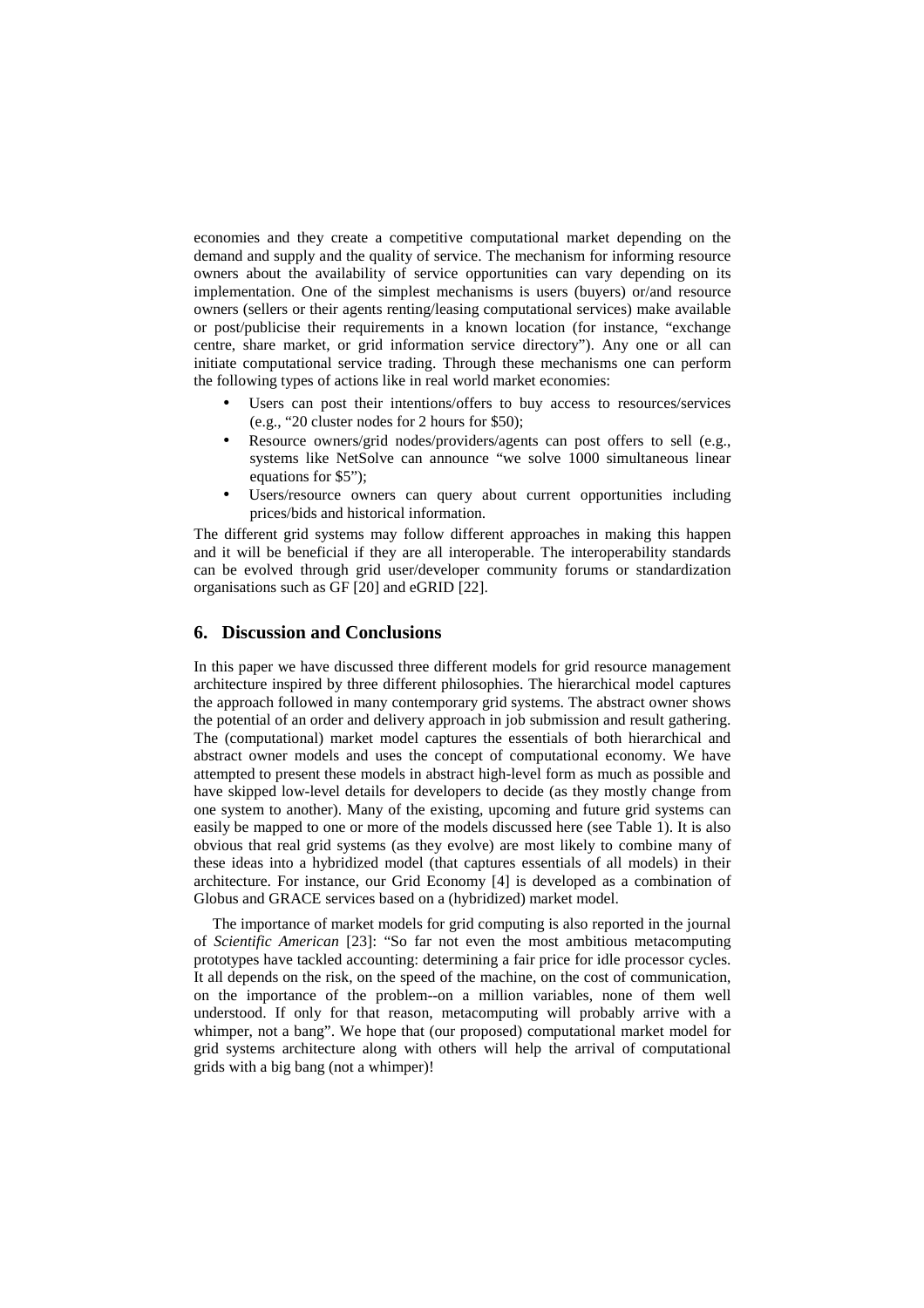economies and they create a competitive computational market depending on the demand and supply and the quality of service. The mechanism for informing resource owners about the availability of service opportunities can vary depending on its implementation. One of the simplest mechanisms is users (buyers) or/and resource owners (sellers or their agents renting/leasing computational services) make available or post/publicise their requirements in a known location (for instance, "exchange centre, share market, or grid information service directory"). Any one or all can initiate computational service trading. Through these mechanisms one can perform the following types of actions like in real world market economies:

- Users can post their intentions/offers to buy access to resources/services (e.g., "20 cluster nodes for 2 hours for \$50);
- Resource owners/grid nodes/providers/agents can post offers to sell (e.g., systems like NetSolve can announce "we solve 1000 simultaneous linear equations for \$5"):
- Users/resource owners can query about current opportunities including prices/bids and historical information.

The different grid systems may follow different approaches in making this happen and it will be beneficial if they are all interoperable. The interoperability standards can be evolved through grid user/developer community forums or standardization organisations such as GF [20] and eGRID [22].

## **6. Discussion and Conclusions**

In this paper we have discussed three different models for grid resource management architecture inspired by three different philosophies. The hierarchical model captures the approach followed in many contemporary grid systems. The abstract owner shows the potential of an order and delivery approach in job submission and result gathering. The (computational) market model captures the essentials of both hierarchical and abstract owner models and uses the concept of computational economy. We have attempted to present these models in abstract high-level form as much as possible and have skipped low-level details for developers to decide (as they mostly change from one system to another). Many of the existing, upcoming and future grid systems can easily be mapped to one or more of the models discussed here (see Table 1). It is also obvious that real grid systems (as they evolve) are most likely to combine many of these ideas into a hybridized model (that captures essentials of all models) in their architecture. For instance, our Grid Economy [4] is developed as a combination of Globus and GRACE services based on a (hybridized) market model.

The importance of market models for grid computing is also reported in the journal of *Scientific American* [23]: "So far not even the most ambitious metacomputing prototypes have tackled accounting: determining a fair price for idle processor cycles. It all depends on the risk, on the speed of the machine, on the cost of communication, on the importance of the problem--on a million variables, none of them well understood. If only for that reason, metacomputing will probably arrive with a whimper, not a bang". We hope that (our proposed) computational market model for grid systems architecture along with others will help the arrival of computational grids with a big bang (not a whimper)!